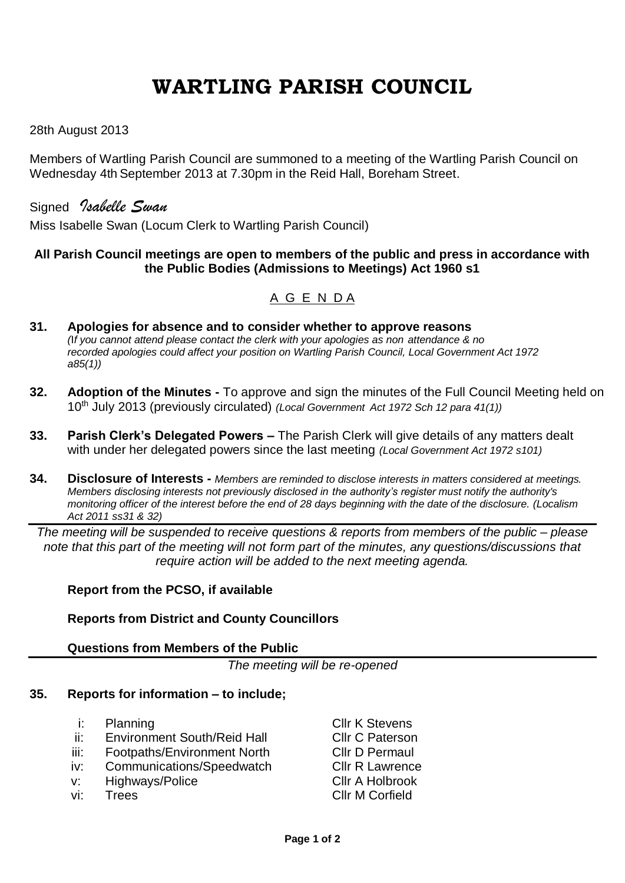# **WARTLING PARISH COUNCIL**

### 28th August 2013

Members of Wartling Parish Council are summoned to a meeting of the Wartling Parish Council on Wednesday 4th September 2013 at 7.30pm in the Reid Hall, Boreham Street.

Signed *Isabelle Swan* Miss Isabelle Swan (Locum Clerk to Wartling Parish Council)

#### **All Parish Council meetings are open to members of the public and press in accordance with the Public Bodies (Admissions to Meetings) Act 1960 s1**

## A G E N D A

- **31. Apologies for absence and to consider whether to approve reasons** *(*I*f you cannot attend please contact the clerk with your apologies as non attendance & no recorded apologies could affect your position on Wartling Parish Council, Local Government Act 1972 a85(1))*
- **32. Adoption of the Minutes -** To approve and sign the minutes of the Full Council Meeting held on 10th July 2013 (previously circulated) *(Local Government Act 1972 Sch 12 para 41(1))*
- **33. Parish Clerk's Delegated Powers –** The Parish Clerk will give details of any matters dealt with under her delegated powers since the last meeting *(Local Government Act 1972 s101)*
- **34. Disclosure of Interests -** *Members are reminded to disclose interests in matters considered at meetings. Members disclosing interests not previously disclosed in the authority's register must notify the authority's monitoring officer of the interest before the end of 28 days beginning with the date of the disclosure. (Localism Act 2011 ss31 & 32)*

*The meeting will be suspended to receive questions & reports from members of the public – please note that this part of the meeting will not form part of the minutes, any questions/discussions that require action will be added to the next meeting agenda.*

#### **Report from the PCSO, if available**

#### **Reports from District and County Councillors**

#### **Questions from Members of the Public**

*The meeting will be re-opened*

#### **35. Reports for information – to include;**

- i: Planning **Cllr K Stevens**
- ii: Environment South/Reid Hall Cllr C Paterson
- iii: Footpaths/Environment North Cllr D Permaul
- iv: Communications/Speedwatch Cllr R Lawrence
- v: Highways/Police Cllr A Holbrook
- 
- vi: Trees Cllr M Corfield